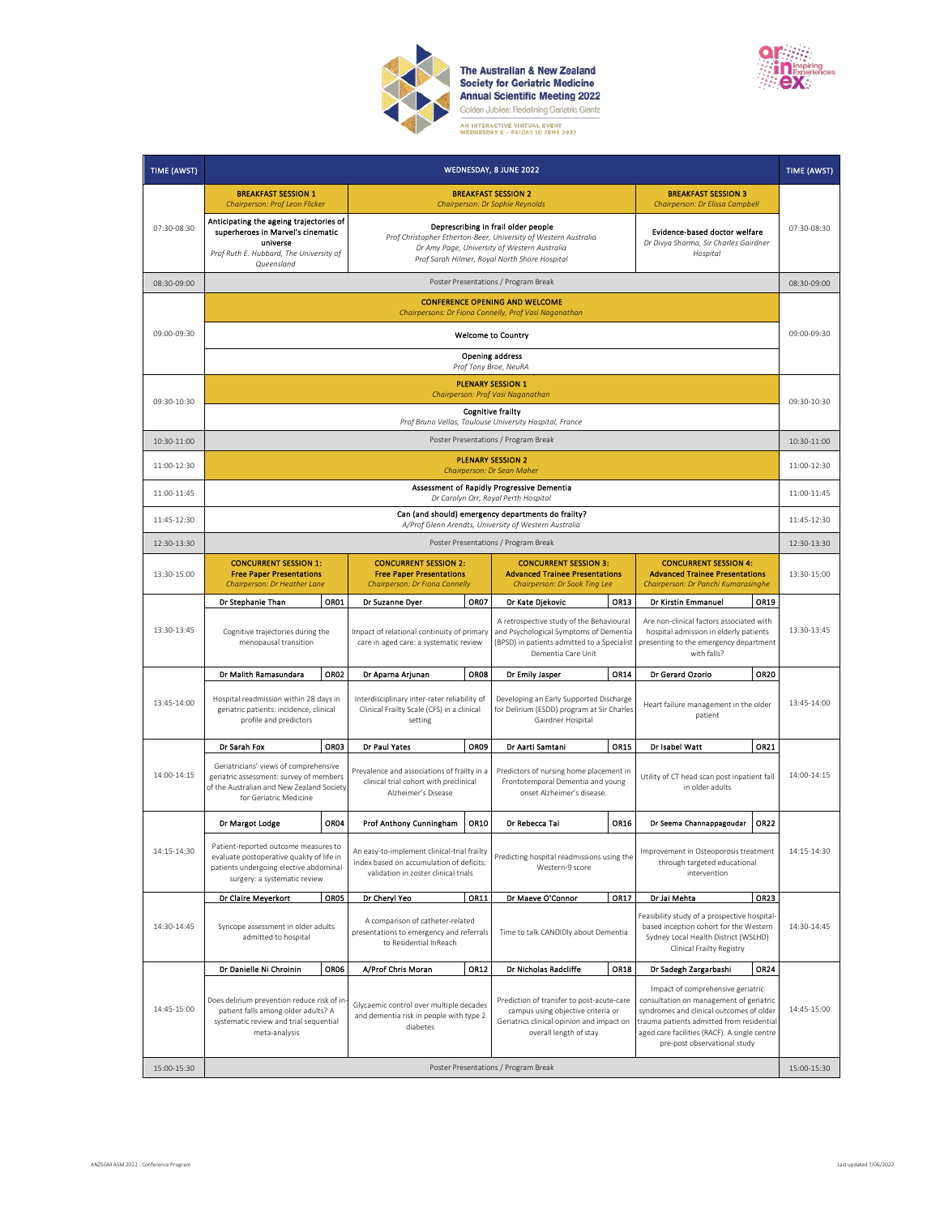

**The Australian & New Zealand<br>Society for Geriatric Medicine<br>Annual Scientific Meeting 2022**<br>Golden Jubilee: Redefining Geriatric Giants 



| TIME (AWST) |                                                                                                                                                             |                                                                                                                                 |                                                                                      | WEDNESDAY, 8 JUNE 2022                                                                                                                                                                                  |                                                                                                                                   |                                                                                                                                                                                                                                                       | TIME (AWST) |
|-------------|-------------------------------------------------------------------------------------------------------------------------------------------------------------|---------------------------------------------------------------------------------------------------------------------------------|--------------------------------------------------------------------------------------|---------------------------------------------------------------------------------------------------------------------------------------------------------------------------------------------------------|-----------------------------------------------------------------------------------------------------------------------------------|-------------------------------------------------------------------------------------------------------------------------------------------------------------------------------------------------------------------------------------------------------|-------------|
|             | <b>BREAKFAST SESSION 1</b><br>Chairperson: Prof Leon Flicker                                                                                                |                                                                                                                                 |                                                                                      | <b>BREAKFAST SESSION 2</b><br>Chairperson: Dr Sophie Reynolds                                                                                                                                           |                                                                                                                                   | <b>BREAKFAST SESSION 3</b><br>Chairperson: Dr Elissa Campbell                                                                                                                                                                                         |             |
| 07:30-08:30 | Anticipating the ageing trajectories of<br>superheroes in Marvel's cinematic<br>universe<br>Prof Ruth E. Hubbard, The University of<br>Queensland           |                                                                                                                                 |                                                                                      | Deprescribing in frail older people<br>Prof Christopher Etherton-Beer, University of Western Australia<br>Dr Amy Page, University of Western Australia<br>Prof Sarah Hilmer, Royal North Shore Hospital |                                                                                                                                   | Evidence-based doctor welfare<br>Dr Divya Sharma, Sir Charles Gairdner<br>Hospital                                                                                                                                                                    | 07:30-08:30 |
| 08:30-09:00 |                                                                                                                                                             |                                                                                                                                 |                                                                                      | Poster Presentations / Program Break                                                                                                                                                                    |                                                                                                                                   |                                                                                                                                                                                                                                                       | 08:30-09:00 |
|             | <b>CONFERENCE OPENING AND WELCOME</b><br>Chairpersons: Dr Fiona Connelly, Prof Vasi Naganathan                                                              |                                                                                                                                 |                                                                                      |                                                                                                                                                                                                         |                                                                                                                                   |                                                                                                                                                                                                                                                       |             |
| 09:00-09:30 |                                                                                                                                                             |                                                                                                                                 |                                                                                      | <b>Welcome to Country</b>                                                                                                                                                                               |                                                                                                                                   |                                                                                                                                                                                                                                                       | 09:00-09:30 |
|             |                                                                                                                                                             |                                                                                                                                 |                                                                                      | <b>Opening address</b><br>Prof Tony Broe, NeuRA                                                                                                                                                         |                                                                                                                                   |                                                                                                                                                                                                                                                       |             |
|             |                                                                                                                                                             |                                                                                                                                 |                                                                                      | <b>PLENARY SESSION 1</b><br>Chairperson: Prof Vasi Naganathan                                                                                                                                           |                                                                                                                                   |                                                                                                                                                                                                                                                       |             |
| 09:30-10:30 |                                                                                                                                                             |                                                                                                                                 |                                                                                      | <b>Cognitive frailty</b><br>Prof Bruno Vellas, Toulouse University Hospital, France                                                                                                                     |                                                                                                                                   |                                                                                                                                                                                                                                                       | 09:30-10:30 |
| 10:30-11:00 |                                                                                                                                                             |                                                                                                                                 |                                                                                      | Poster Presentations / Program Break                                                                                                                                                                    |                                                                                                                                   |                                                                                                                                                                                                                                                       | 10:30-11:00 |
| 11:00-12:30 |                                                                                                                                                             |                                                                                                                                 |                                                                                      | <b>PLENARY SESSION 2</b><br>Chairperson: Dr Sean Maher                                                                                                                                                  |                                                                                                                                   |                                                                                                                                                                                                                                                       | 11:00-12:30 |
| 11:00-11:45 |                                                                                                                                                             |                                                                                                                                 |                                                                                      | Assessment of Rapidly Progressive Dementia<br>Dr Carolyn Orr, Royal Perth Hospital                                                                                                                      |                                                                                                                                   |                                                                                                                                                                                                                                                       | 11:00-11:45 |
| 11:45-12:30 |                                                                                                                                                             |                                                                                                                                 |                                                                                      | Can (and should) emergency departments do frailty?<br>A/Prof Glenn Arendts, University of Western Australia                                                                                             |                                                                                                                                   |                                                                                                                                                                                                                                                       | 11:45-12:30 |
| 12:30-13:30 |                                                                                                                                                             |                                                                                                                                 |                                                                                      | Poster Presentations / Program Break                                                                                                                                                                    |                                                                                                                                   |                                                                                                                                                                                                                                                       | 12:30-13:30 |
| 13:30-15:00 | <b>CONCURRENT SESSION 1:</b><br><b>Free Paper Presentations</b><br>Chairperson: Dr Heather Lane                                                             | <b>CONCURRENT SESSION 2:</b><br><b>Free Paper Presentations</b><br>Chairperson: Dr Fiona Connelly                               |                                                                                      | <b>CONCURRENT SESSION 3:</b><br><b>Advanced Trainee Presentations</b><br>Chairperson: Dr Sook Ting Lee                                                                                                  |                                                                                                                                   | <b>CONCURRENT SESSION 4:</b><br><b>Advanced Trainee Presentations</b><br>Chairperson: Dr Panchi Kumarasinghe                                                                                                                                          | 13:30-15:00 |
|             | Dr Stephanie Than                                                                                                                                           | OR01<br>Dr Suzanne Dyer                                                                                                         | OR07                                                                                 | Dr Kate Djekovic                                                                                                                                                                                        | <b>OR13</b>                                                                                                                       | Dr Kirstin Emmanuel<br>OR19                                                                                                                                                                                                                           |             |
| 13:30-13:45 | Cognitive trajectories during the<br>menopausal transition                                                                                                  |                                                                                                                                 | Impact of relational continuity of primary<br>care in aged care: a systematic review |                                                                                                                                                                                                         | A retrospective study of the Behavioural<br>and Psychological Symptoms of Dementia<br>(BPSD) in patients admitted to a Specialist | Are non-clinical factors associated with<br>hospital admission in elderly patients<br>presenting to the emergency department<br>with falls?                                                                                                           | 13:30-13:45 |
|             | Dr Malith Ramasundara                                                                                                                                       | OR <sub>02</sub><br>Dr Aparna Arjunan                                                                                           | OR08                                                                                 | Dr Emily Jasper                                                                                                                                                                                         | OR14                                                                                                                              | Dr Gerard Ozorio<br><b>OR20</b>                                                                                                                                                                                                                       |             |
| 13:45-14:00 | Hospital readmission within 28 days in<br>geriatric patients: incidence, clinical<br>profile and predictors                                                 | Interdisciplinary inter-rater reliability of<br>Clinical Frailty Scale (CFS) in a clinical<br>setting                           |                                                                                      | Developing an Early Supported Discharge<br>for Delirium (ESDD) program at Sir Charles<br>Gairdner Hospital                                                                                              |                                                                                                                                   | Heart failure management in the older<br>patient                                                                                                                                                                                                      | 13:45-14:00 |
|             | Dr Sarah Fox                                                                                                                                                | OR03<br>Dr Paul Yates                                                                                                           | OR09                                                                                 | Dr Aarti Samtani                                                                                                                                                                                        | OR15                                                                                                                              | OR21<br>Dr Isabel Watt                                                                                                                                                                                                                                |             |
| 14:00-14:15 | Geriatricians' views of comprehensive<br>geriatric assessment: survey of members<br>of the Australian and New Zealand Society<br>for Geriatric Medicine     | Prevalence and associations of frailty in a<br>clinical trial cohort with preclinical<br>Alzheimer's Disease                    |                                                                                      | Predictors of nursing home placement in<br>Frontotemporal Dementia and young<br>onset Alzheimer's disease.                                                                                              |                                                                                                                                   | Utility of CT head scan post inpatient fall<br>in older adults                                                                                                                                                                                        | 14:00-14:15 |
|             | Dr Margot Lodge                                                                                                                                             | OR04<br>Prof Anthony Cunningham                                                                                                 | OR10                                                                                 | Dr Rebecca Tai                                                                                                                                                                                          | OR16                                                                                                                              | OR22<br>Dr Seema Channappagoudar                                                                                                                                                                                                                      |             |
| 14:15-14:30 | Patient-reported outcome measures to<br>evaluate postoperative quality of life in<br>patients undergoing elective abdominal<br>surgery: a systematic review | An easy-to-implement clinical-trial frailty<br>index based on accumulation of deficits:<br>validation in zoster clinical trials |                                                                                      | Predicting hospital readmissions using the<br>Western-9 score                                                                                                                                           |                                                                                                                                   | Improvement in Osteoporosis treatment<br>through targeted educational<br>intervention                                                                                                                                                                 | 14:15-14:30 |
|             | Dr Claire Meyerkort                                                                                                                                         | OR05<br>Dr Cheryl Yeo                                                                                                           | OR11                                                                                 | Dr Maeve O'Connor                                                                                                                                                                                       | OR17                                                                                                                              | Dr Jai Mehta<br>OR <sub>23</sub>                                                                                                                                                                                                                      |             |
| 14:30-14:45 | Syncope assessment in older adults<br>admitted to hospital                                                                                                  | A comparison of catheter-related<br>presentations to emergency and referrals<br>to Residential InReach                          |                                                                                      | Time to talk CANDIDly about Dementia                                                                                                                                                                    |                                                                                                                                   | Feasibility study of a prospective hospital-<br>based inception cohort for the Western<br>Sydney Local Health District (WSLHD)<br>Clinical Frailty Registry                                                                                           | 14:30-14:45 |
|             | Dr Danielle Ni Chroinin                                                                                                                                     | OR06<br>A/Prof Chris Moran                                                                                                      | OR12                                                                                 | Dr Nicholas Radcliffe                                                                                                                                                                                   | OR18                                                                                                                              | OR24<br>Dr Sadegh Zargarbashi                                                                                                                                                                                                                         |             |
| 14:45-15:00 | Does delirium prevention reduce risk of in<br>patient falls among older adults? A<br>systematic review and trial sequential<br>meta-analysis                | Glycaemic control over multiple decades<br>and dementia risk in people with type 2<br>diabetes                                  |                                                                                      | Prediction of transfer to post-acute-care<br>campus using objective criteria or<br>Geriatrics clinical opinion and impact on<br>overall length of stay                                                  |                                                                                                                                   | Impact of comprehensive geriatric<br>consultation on management of geriatric<br>syndromes and clinical outcomes of older<br>trauma patients admitted from residential<br>aged care facilities (RACF). A single centre<br>pre-post observational study | 14:45-15:00 |
| 15:00-15:30 | Poster Presentations / Program Break                                                                                                                        |                                                                                                                                 |                                                                                      |                                                                                                                                                                                                         | 15:00-15:30                                                                                                                       |                                                                                                                                                                                                                                                       |             |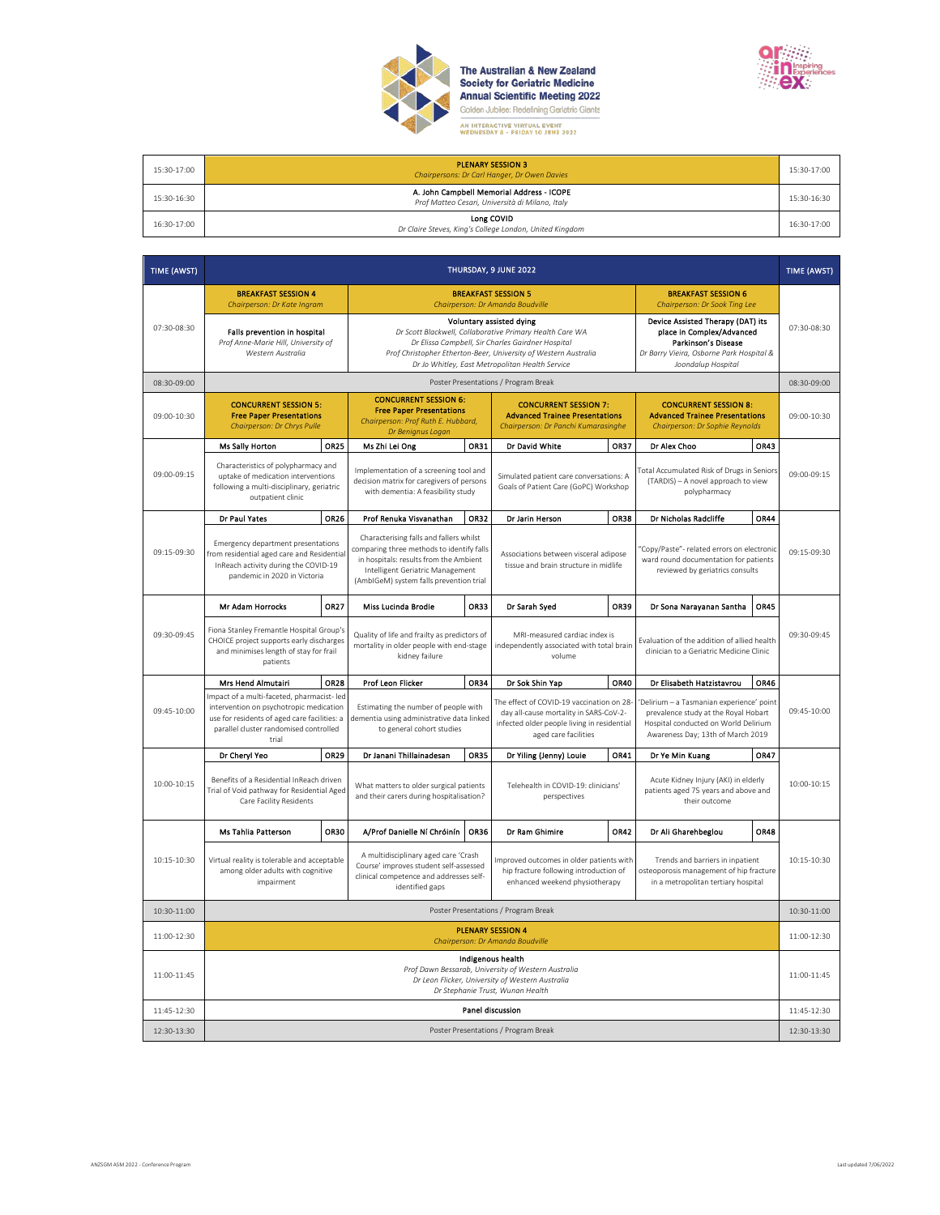

**The Australian & New Zealand<br>Society for Geriatric Medicine<br>Annual Scientific Meeting 2022**<br>Golden Jubilee: Redefining Geriatric Giants



| 15:30-17:00 | <b>PLENARY SESSION 3</b><br>Chairpersons: Dr Carl Hanger, Dr Owen Davies                     | 15:30-17:00 |
|-------------|----------------------------------------------------------------------------------------------|-------------|
| 15:30-16:30 | A. John Campbell Memorial Address - ICOPE<br>Prof Matteo Cesari, Università di Milano, Italy | 15:30-16:30 |
| 16:30-17:00 | Long COVID<br>Dr Claire Steves, King's College London, United Kingdom                        | 16:30-17:00 |

| TIME (AWST) | THURSDAY, 9 JUNE 2022                                                                                                                                                                    |             |                                                                                                                                                                                                                                                                 |             |                                                                                                                                                            |             | TIME (AWST)                                                                                                                                                   |             |             |
|-------------|------------------------------------------------------------------------------------------------------------------------------------------------------------------------------------------|-------------|-----------------------------------------------------------------------------------------------------------------------------------------------------------------------------------------------------------------------------------------------------------------|-------------|------------------------------------------------------------------------------------------------------------------------------------------------------------|-------------|---------------------------------------------------------------------------------------------------------------------------------------------------------------|-------------|-------------|
|             | <b>BREAKFAST SESSION 4</b><br>Chairperson: Dr Kate Ingram                                                                                                                                |             |                                                                                                                                                                                                                                                                 |             | <b>BREAKFAST SESSION 5</b><br>Chairperson: Dr Amanda Boudville                                                                                             |             | <b>BREAKFAST SESSION 6</b><br>Chairperson: Dr Sook Ting Lee                                                                                                   |             |             |
| 07:30-08:30 | Falls prevention in hospital<br>Prof Anne-Marie Hill, University of<br>Western Australia                                                                                                 |             | Voluntary assisted dying<br>Dr Scott Blackwell, Collaborative Primary Health Care WA<br>Dr Elissa Campbell, Sir Charles Gairdner Hospital<br>Prof Christopher Etherton-Beer, University of Western Australia<br>Dr Jo Whitley, East Metropolitan Health Service |             |                                                                                                                                                            |             | Device Assisted Therapy (DAT) its<br>place in Complex/Advanced<br>Parkinson's Disease<br>Dr Barry Vieira, Osborne Park Hospital &<br>Joondalup Hospital       |             | 07:30-08:30 |
| 08:30-09:00 |                                                                                                                                                                                          |             |                                                                                                                                                                                                                                                                 |             | Poster Presentations / Program Break                                                                                                                       |             |                                                                                                                                                               |             | 08:30-09:00 |
| 09:00-10:30 | <b>CONCURRENT SESSION 5:</b><br><b>Free Paper Presentations</b><br>Chairperson: Dr Chrys Pulle                                                                                           |             | <b>CONCURRENT SESSION 6:</b><br><b>Free Paper Presentations</b><br>Chairperson: Prof Ruth E. Hubbard,<br>Dr Benignus Logan                                                                                                                                      |             | <b>CONCURRENT SESSION 7:</b><br><b>Advanced Trainee Presentations</b><br>Chairperson: Dr Panchi Kumarasinghe                                               |             | <b>CONCURRENT SESSION 8:</b><br><b>Advanced Trainee Presentations</b><br>Chairperson: Dr Sophie Reynolds                                                      |             | 09:00-10:30 |
|             | <b>Ms Sally Horton</b>                                                                                                                                                                   | <b>OR25</b> | Ms Zhi Lei Ong                                                                                                                                                                                                                                                  | OR31        | Dr David White                                                                                                                                             | <b>OR37</b> | Dr Alex Choo                                                                                                                                                  | OR43        |             |
| 09:00-09:15 | Characteristics of polypharmacy and<br>uptake of medication interventions<br>following a multi-disciplinary, geriatric<br>outpatient clinic                                              |             | Implementation of a screening tool and<br>decision matrix for caregivers of persons<br>with dementia: A feasibility study                                                                                                                                       |             | Simulated patient care conversations: A<br>Goals of Patient Care (GoPC) Workshop                                                                           |             | Total Accumulated Risk of Drugs in Seniors<br>(TARDIS) - A novel approach to view<br>polypharmacy                                                             |             | 09:00-09:15 |
|             | Dr Paul Yates                                                                                                                                                                            | OR26        | Prof Renuka Visvanathan                                                                                                                                                                                                                                         | <b>OR32</b> | Dr Jarin Herson                                                                                                                                            | <b>OR38</b> | Dr Nicholas Radcliffe                                                                                                                                         | <b>OR44</b> |             |
| 09:15-09:30 | Emergency department presentations<br>from residential aged care and Residential<br>InReach activity during the COVID-19<br>pandemic in 2020 in Victoria                                 |             | Characterising falls and fallers whilst<br>comparing three methods to identify falls<br>in hospitals: results from the Ambient<br>Intelligent Geriatric Management<br>(AmbIGeM) system falls prevention trial                                                   |             | Associations between visceral adipose<br>tissue and brain structure in midlife                                                                             |             | "Copy/Paste"- related errors on electronic<br>ward round documentation for patients<br>reviewed by geriatrics consults                                        |             | 09:15-09:30 |
|             | <b>Mr Adam Horrocks</b>                                                                                                                                                                  | OR27        | Miss Lucinda Brodie                                                                                                                                                                                                                                             | <b>OR33</b> | Dr Sarah Syed                                                                                                                                              | <b>OR39</b> | Dr Sona Narayanan Santha                                                                                                                                      | OR45        |             |
| 09:30-09:45 | Fiona Stanley Fremantle Hospital Group's<br>CHOICE project supports early discharges<br>and minimises length of stay for frail<br>patients                                               |             | Quality of life and frailty as predictors of<br>mortality in older people with end-stage<br>kidney failure                                                                                                                                                      |             | MRI-measured cardiac index is<br>independently associated with total brain<br>volume                                                                       |             | Evaluation of the addition of allied health<br>clinician to a Geriatric Medicine Clinic                                                                       |             | 09:30-09:45 |
|             | Mrs Hend Almutairi                                                                                                                                                                       | <b>OR28</b> | Prof Leon Flicker                                                                                                                                                                                                                                               | OR34        | Dr Sok Shin Yap                                                                                                                                            | OR40        | Dr Elisabeth Hatzistavrou                                                                                                                                     | <b>OR46</b> |             |
| 09:45-10:00 | Impact of a multi-faceted, pharmacist- led<br>intervention on psychotropic medication<br>use for residents of aged care facilities: a<br>parallel cluster randomised controlled<br>trial |             | Estimating the number of people with<br>dementia using administrative data linked<br>to general cohort studies                                                                                                                                                  |             | The effect of COVID-19 vaccination on 28-<br>day all-cause mortality in SARS-CoV-2-<br>infected older people living in residential<br>aged care facilities |             | Delirium - a Tasmanian experience' point<br>prevalence study at the Royal Hobart<br>Hospital conducted on World Delirium<br>Awareness Day; 13th of March 2019 |             | 09:45-10:00 |
|             | Dr Cheryl Yeo                                                                                                                                                                            | OR29        | Dr Janani Thillainadesan                                                                                                                                                                                                                                        | <b>OR35</b> | Dr Yiling (Jenny) Louie                                                                                                                                    | OR41        | Dr Ye Min Kuang                                                                                                                                               | <b>OR47</b> |             |
| 10:00-10:15 | Benefits of a Residential InReach driven<br>Trial of Void pathway for Residential Aged<br>Care Facility Residents                                                                        |             | What matters to older surgical patients<br>and their carers during hospitalisation?                                                                                                                                                                             |             | Telehealth in COVID-19: clinicians'<br>perspectives                                                                                                        |             | Acute Kidney Injury (AKI) in elderly<br>patients aged 75 years and above and<br>their outcome                                                                 |             | 10:00-10:15 |
|             | <b>Ms Tahlia Patterson</b>                                                                                                                                                               | <b>OR30</b> | A/Prof Danielle Ní Chróinín                                                                                                                                                                                                                                     | <b>OR36</b> | Dr Ram Ghimire                                                                                                                                             | OR42        | Dr Ali Gharehbeglou                                                                                                                                           | <b>OR48</b> |             |
| 10:15-10:30 | Virtual reality is tolerable and acceptable<br>among older adults with cognitive<br>impairment                                                                                           |             | A multidisciplinary aged care 'Crash<br>Course' improves student self-assessed<br>clinical competence and addresses self-<br>identified gaps                                                                                                                    |             | Improved outcomes in older patients with<br>hip fracture following introduction of<br>enhanced weekend physiotherapy                                       |             | Trends and barriers in inpatient<br>osteoporosis management of hip fracture<br>in a metropolitan tertiary hospital                                            |             | 10:15-10:30 |
| 10:30-11:00 | Poster Presentations / Program Break                                                                                                                                                     |             |                                                                                                                                                                                                                                                                 |             | 10:30-11:00                                                                                                                                                |             |                                                                                                                                                               |             |             |
| 11:00-12:30 | <b>PLENARY SESSION 4</b><br>Chairperson: Dr Amanda Boudville                                                                                                                             |             |                                                                                                                                                                                                                                                                 |             |                                                                                                                                                            |             | 11:00-12:30                                                                                                                                                   |             |             |
| 11:00-11:45 | Indigenous health<br>Prof Dawn Bessarab, University of Western Australia<br>Dr Leon Flicker, University of Western Australia<br>Dr Stephanie Trust, Wunan Health                         |             |                                                                                                                                                                                                                                                                 |             |                                                                                                                                                            | 11:00-11:45 |                                                                                                                                                               |             |             |
| 11:45-12:30 | Panel discussion                                                                                                                                                                         |             |                                                                                                                                                                                                                                                                 |             |                                                                                                                                                            |             | 11:45-12:30                                                                                                                                                   |             |             |
| 12:30-13:30 | Poster Presentations / Program Break                                                                                                                                                     |             |                                                                                                                                                                                                                                                                 |             |                                                                                                                                                            |             |                                                                                                                                                               | 12:30-13:30 |             |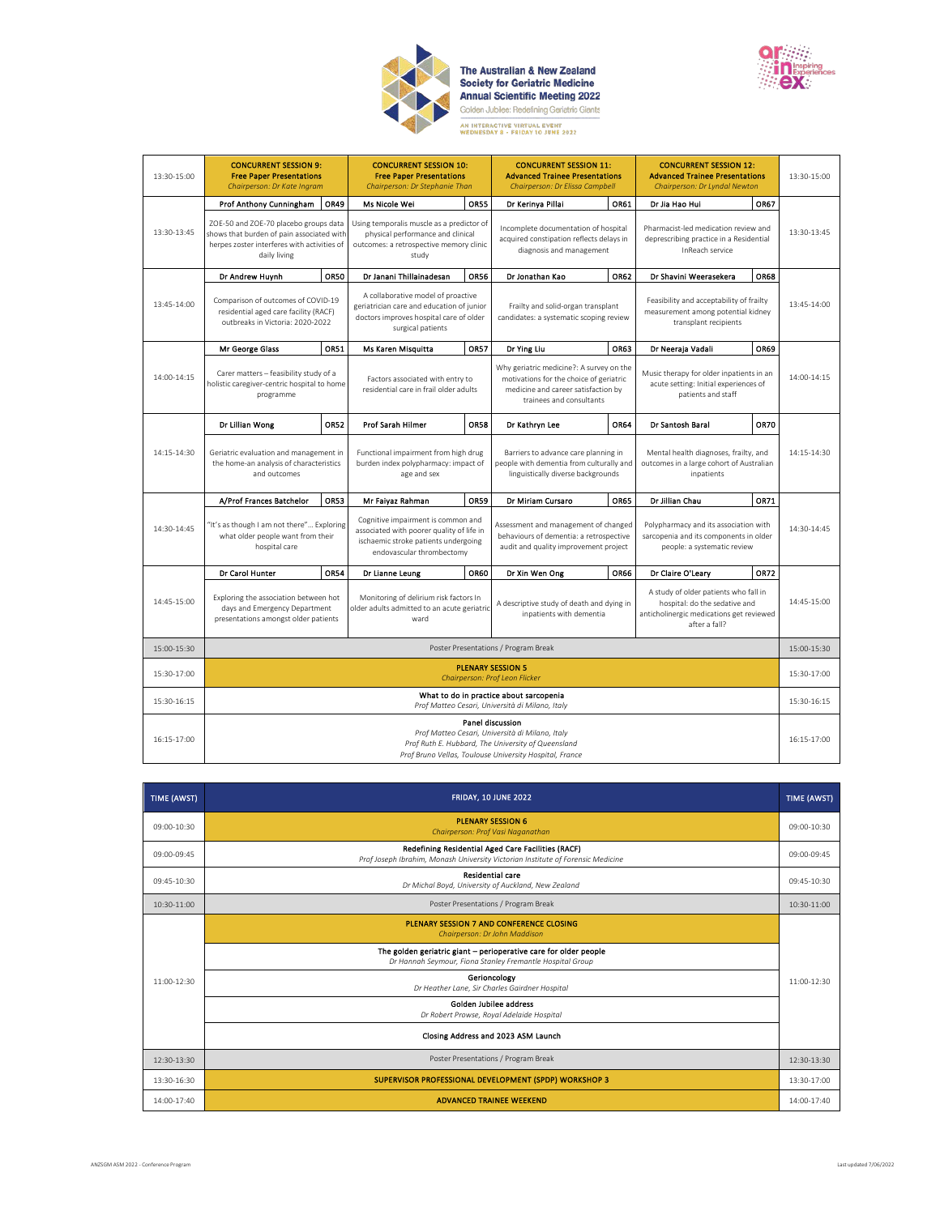

**The Australian & New Zealand<br>Society for Geriatric Medicine<br>Annual Scientific Meeting 2022**<br>Golden Jubilee: Redefining Geriatric Giants 



| 13:30-15:00 | <b>CONCURRENT SESSION 9:</b><br><b>Free Paper Presentations</b><br>Chairperson: Dr Kate Ingram                                                                                       |             | <b>CONCURRENT SESSION 10:</b><br><b>Free Paper Presentations</b><br>Chairperson: Dr Stephanie Than                                                   |             | <b>CONCURRENT SESSION 11:</b><br><b>Advanced Trainee Presentations</b><br>Chairperson: Dr Elissa Campbell                                              |             | <b>CONCURRENT SESSION 12:</b><br><b>Advanced Trainee Presentations</b><br>Chairperson: Dr Lyndal Newton                             |             | 13:30-15:00   |
|-------------|--------------------------------------------------------------------------------------------------------------------------------------------------------------------------------------|-------------|------------------------------------------------------------------------------------------------------------------------------------------------------|-------------|--------------------------------------------------------------------------------------------------------------------------------------------------------|-------------|-------------------------------------------------------------------------------------------------------------------------------------|-------------|---------------|
|             | Prof Anthony Cunningham                                                                                                                                                              | OR49        | Ms Nicole Wei                                                                                                                                        | <b>OR55</b> | Dr Kerinya Pillai                                                                                                                                      | OR61        | Dr Jia Hao Hui                                                                                                                      | OR67        |               |
| 13:30-13:45 | ZOE-50 and ZOE-70 placebo groups data<br>shows that burden of pain associated with<br>herpes zoster interferes with activities of<br>daily living                                    |             | Using temporalis muscle as a predictor of<br>physical performance and clinical<br>outcomes: a retrospective memory clinic<br>study                   |             | Incomplete documentation of hospital<br>acquired constipation reflects delays in<br>diagnosis and management                                           |             | Pharmacist-led medication review and<br>deprescribing practice in a Residential<br>InReach service                                  |             | 13:30-13:45   |
|             | Dr Andrew Huynh                                                                                                                                                                      | OR50        | Dr Janani Thillainadesan                                                                                                                             | <b>OR56</b> | Dr Jonathan Kao                                                                                                                                        | OR62        | Dr Shavini Weerasekera                                                                                                              | <b>OR68</b> |               |
| 13:45-14:00 | Comparison of outcomes of COVID-19<br>residential aged care facility (RACF)<br>outbreaks in Victoria: 2020-2022                                                                      |             | A collaborative model of proactive<br>geriatrician care and education of junior<br>doctors improves hospital care of older<br>surgical patients      |             | Frailty and solid-organ transplant<br>candidates: a systematic scoping review                                                                          |             | Feasibility and acceptability of frailty<br>measurement among potential kidney<br>transplant recipients                             |             | $13:45-14:00$ |
|             | Mr George Glass                                                                                                                                                                      | OR51        | Ms Karen Misquitta                                                                                                                                   | <b>OR57</b> | Dr Ying Liu                                                                                                                                            | OR63        | Dr Neeraja Vadali                                                                                                                   | OR69        |               |
| 14:00-14:15 | Carer matters - feasibility study of a<br>holistic caregiver-centric hospital to home<br>programme                                                                                   |             | Factors associated with entry to<br>residential care in frail older adults                                                                           |             | Why geriatric medicine?: A survey on the<br>motivations for the choice of geriatric<br>medicine and career satisfaction by<br>trainees and consultants |             | Music therapy for older inpatients in an<br>acute setting: Initial experiences of<br>patients and staff                             |             | 14:00-14:15   |
|             | Dr Lillian Wong                                                                                                                                                                      | <b>OR52</b> | Prof Sarah Hilmer                                                                                                                                    | <b>OR58</b> | Dr Kathryn Lee                                                                                                                                         | <b>OR64</b> | Dr Santosh Baral                                                                                                                    | <b>OR70</b> |               |
| 14:15-14:30 | Geriatric evaluation and management in<br>the home-an analysis of characteristics<br>and outcomes                                                                                    |             | Functional impairment from high drug<br>burden index polypharmacy: impact of<br>age and sex                                                          |             | Barriers to advance care planning in<br>people with dementia from culturally and<br>linguistically diverse backgrounds                                 |             | Mental health diagnoses, frailty, and<br>outcomes in a large cohort of Australian<br>inpatients                                     |             | 14:15-14:30   |
|             | A/Prof Frances Batchelor                                                                                                                                                             | OR53        | Mr Faiyaz Rahman                                                                                                                                     | <b>OR59</b> | Dr Miriam Cursaro                                                                                                                                      | <b>OR65</b> | Dr Jillian Chau                                                                                                                     | OR71        |               |
| 14:30-14:45 | 'It's as though I am not there" Exploring<br>what older people want from their<br>hospital care                                                                                      |             | Cognitive impairment is common and<br>associated with poorer quality of life in<br>ischaemic stroke patients undergoing<br>endovascular thrombectomy |             | Assessment and management of changed<br>behaviours of dementia: a retrospective<br>audit and quality improvement project                               |             | Polypharmacy and its association with<br>sarcopenia and its components in older<br>people: a systematic review                      |             | 14:30-14:45   |
|             | Dr Carol Hunter                                                                                                                                                                      | <b>OR54</b> | Dr Lianne Leung                                                                                                                                      | OR60        | Dr Xin Wen Ong                                                                                                                                         | OR66        | Dr Claire O'Leary                                                                                                                   | OR72        |               |
| 14:45-15:00 | Exploring the association between hot<br>days and Emergency Department<br>presentations amongst older patients                                                                       |             | Monitoring of delirium risk factors In<br>older adults admitted to an acute geriatric<br>ward                                                        |             | A descriptive study of death and dying in<br>inpatients with dementia                                                                                  |             | A study of older patients who fall in<br>hospital: do the sedative and<br>anticholinergic medications get reviewed<br>after a fall? |             | 14:45-15:00   |
| 15:00-15:30 | Poster Presentations / Program Break                                                                                                                                                 |             |                                                                                                                                                      |             | 15:00-15:30                                                                                                                                            |             |                                                                                                                                     |             |               |
| 15:30-17:00 | <b>PLENARY SESSION 5</b><br>Chairperson: Prof Leon Flicker                                                                                                                           |             |                                                                                                                                                      |             | 15:30-17:00                                                                                                                                            |             |                                                                                                                                     |             |               |
| 15:30-16:15 | What to do in practice about sarcopenia<br>Prof Matteo Cesari, Università di Milano, Italy                                                                                           |             |                                                                                                                                                      |             | 15:30-16:15                                                                                                                                            |             |                                                                                                                                     |             |               |
| 16:15-17:00 | Panel discussion<br>Prof Matteo Cesari, Università di Milano, Italy<br>Prof Ruth E. Hubbard, The University of Queensland<br>Prof Bruno Vellas, Toulouse University Hospital, France |             |                                                                                                                                                      |             |                                                                                                                                                        |             | 16:15-17:00                                                                                                                         |             |               |

| TIME (AWST)   | <b>FRIDAY, 10 JUNE 2022</b>                                                                                                           | TIME (AWST) |  |  |  |  |
|---------------|---------------------------------------------------------------------------------------------------------------------------------------|-------------|--|--|--|--|
| 09:00-10:30   | <b>PLENARY SESSION 6</b><br>Chairperson: Prof Vasi Naganathan                                                                         | 09:00-10:30 |  |  |  |  |
| 09:00-09:45   | Redefining Residential Aged Care Facilities (RACF)<br>Prof Joseph Ibrahim, Monash University Victorian Institute of Forensic Medicine | 09:00-09:45 |  |  |  |  |
| $09:45-10:30$ | <b>Residential care</b><br>Dr Michal Boyd, University of Auckland, New Zealand                                                        | 09:45-10:30 |  |  |  |  |
| $10:30-11:00$ | Poster Presentations / Program Break                                                                                                  | 10:30-11:00 |  |  |  |  |
|               | PLENARY SESSION 7 AND CONFERENCE CLOSING<br>Chairperson: Dr John Maddison                                                             |             |  |  |  |  |
|               | The golden geriatric giant - perioperative care for older people<br>Dr Hannah Seymour, Fiona Stanley Fremantle Hospital Group         |             |  |  |  |  |
| $11:00-12:30$ | Gerioncology<br>Dr Heather Lane, Sir Charles Gairdner Hospital<br>Golden Jubilee address<br>Dr Robert Prowse, Royal Adelaide Hospital |             |  |  |  |  |
|               |                                                                                                                                       |             |  |  |  |  |
|               | Closing Address and 2023 ASM Launch                                                                                                   |             |  |  |  |  |
| 12:30-13:30   | Poster Presentations / Program Break                                                                                                  | 12:30-13:30 |  |  |  |  |
| 13:30-16:30   | SUPERVISOR PROFESSIONAL DEVELOPMENT (SPDP) WORKSHOP 3                                                                                 | 13:30-17:00 |  |  |  |  |
| 14:00-17:40   | <b>ADVANCED TRAINEE WEEKEND</b>                                                                                                       | 14:00-17:40 |  |  |  |  |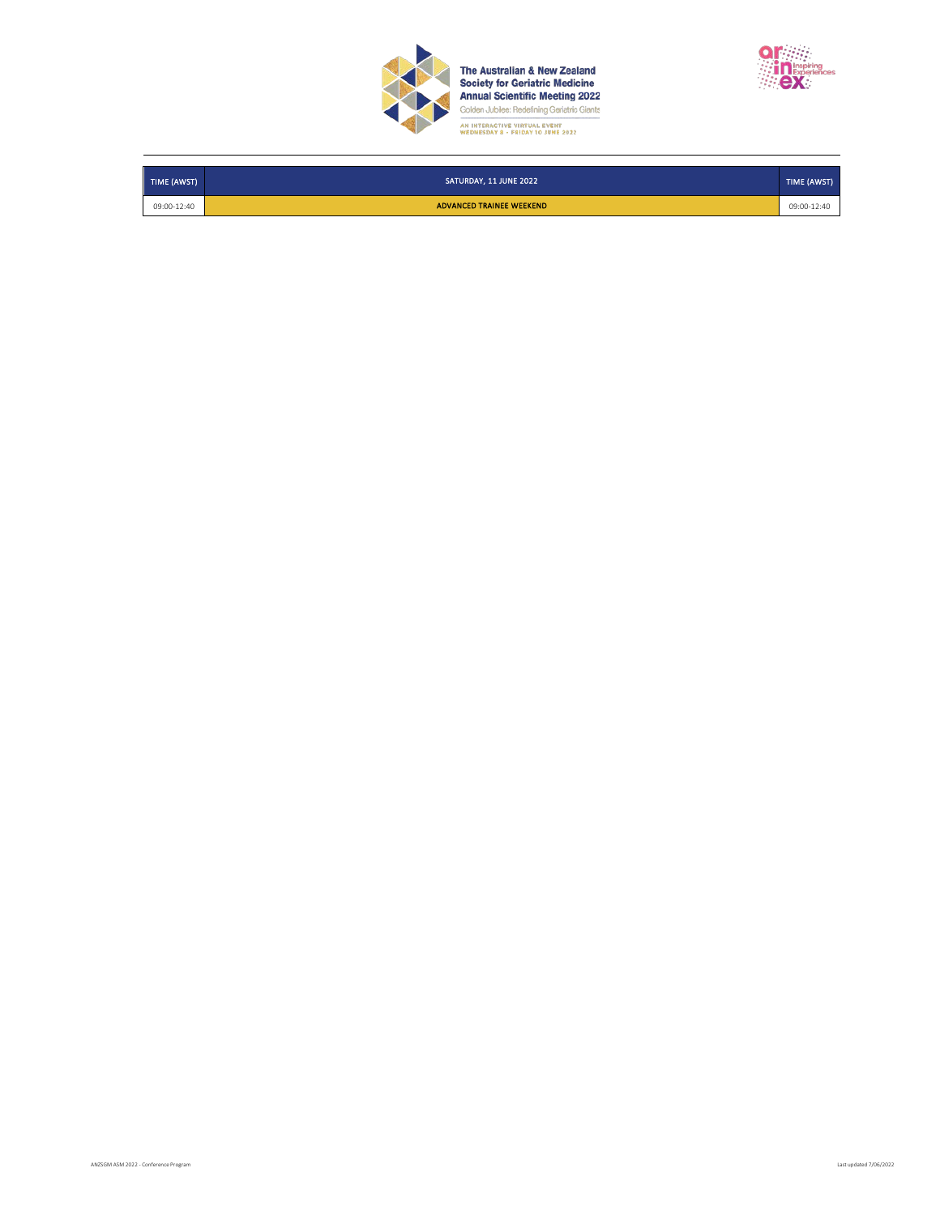

**The Australian & New Zealand<br>Society for Geriatric Medicine<br>Annual Scientific Meeting 2022**<br>Golden Jubilee: Redefining Geriatric Giants AN INTERACTIVE VIRTUAL EVENT<br>WEDNESDAY 8 - FRIDAY 10 JUNE 2022



| TIME (AWST) | SATURDAY, 11 JUNE 2022   | TIME (AWST) |
|-------------|--------------------------|-------------|
| 09:00-12:40 | ADVANCED TRAINEE WEEKEND | 09:00-12:40 |